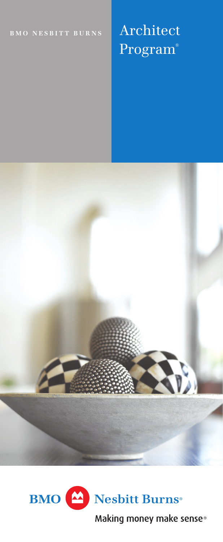# **BMO** NESBITT BURNS **Architect** Program®





Making money make sense<sup>®</sup>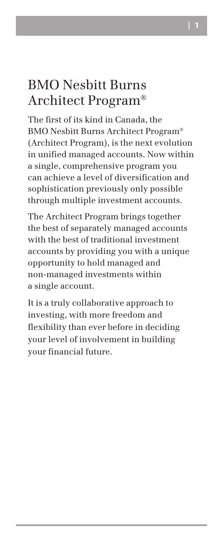## BMO Nesbitt Burns Architect Program®

The first of its kind in Canada, the BMO Nesbitt Burns Architect Program® (Architect Program), is the next evolution in unified managed accounts. Now within a single, comprehensive program you can achieve a level of diversification and sophistication previously only possible through multiple investment accounts.

The Architect Program brings together the best of separately managed accounts with the best of traditional investment accounts by providing you with a unique opportunity to hold managed and non-managed investments within a single account.

It is a truly collaborative approach to investing, with more freedom and flexibility than ever before in deciding your level of involvement in building your financial future.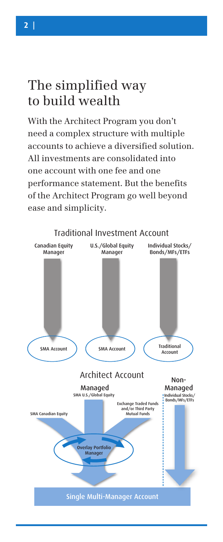## The simplified way to build wealth

With the Architect Program you don't need a complex structure with multiple accounts to achieve a diversified solution. All investments are consolidated into one account with one fee and one performance statement. But the benefits of the Architect Program go well beyond ease and simplicity.

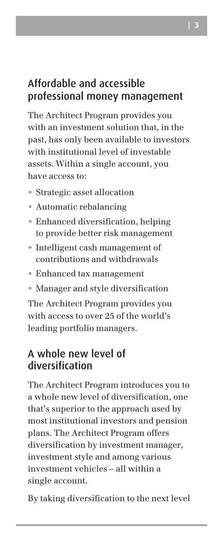## Affordable and accessible professional money management

The Architect Program provides you with an investment solution that, in the past, has only been available to investors with institutional level of investable assets. Within a single account, you have access to:

- • Strategic asset allocation
- • Automatic rebalancing
- • Enhanced diversification, helping to provide better risk management
- • Intelligent cash management of contributions and withdrawals
- • Enhanced tax management
- Manager and style diversification

The Architect Program provides you with access to over 25 of the world's leading portfolio managers.

### A whole new level of diversification

The Architect Program introduces you to a whole new level of diversification, one that's superior to the approach used by most institutional investors and pension plans. The Architect Program offers diversification by investment manager, investment style and among various investment vehicles – all within a single account.

By taking diversification to the next level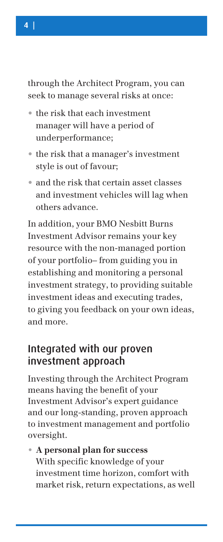through the Architect Program, you can seek to manage several risks at once:

- the risk that each investment manager will have a period of underperformance;
- the risk that a manager's investment style is out of favour;
- • and the risk that certain asset classes and investment vehicles will lag when others advance.

In addition, your BMO Nesbitt Burns Investment Advisor remains your key resource with the non-managed portion of your portfolio– from guiding you in establishing and monitoring a personal investment strategy, to providing suitable investment ideas and executing trades, to giving you feedback on your own ideas, and more.

### Integrated with our proven investment approach

Investing through the Architect Program means having the benefit of your Investment Advisor's expert guidance and our long-standing, proven approach to investment management and portfolio oversight.

**• A personal plan for success** With specific knowledge of your investment time horizon, comfort with market risk, return expectations, as well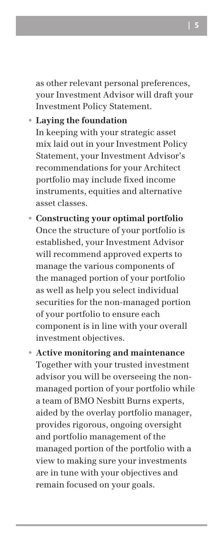as other relevant personal preferences, your Investment Advisor will draft your Investment Policy Statement.

#### **• Laying the foundation**

In keeping with your strategic asset mix laid out in your Investment Policy Statement, your Investment Advisor's recommendations for your Architect portfolio may include fixed income instruments, equities and alternative asset classes.

- **• Constructing your optimal portfolio** Once the structure of your portfolio is established, your Investment Advisor will recommend approved experts to manage the various components of the managed portion of your portfolio as well as help you select individual securities for the non-managed portion of your portfolio to ensure each component is in line with your overall investment objectives.
- **• Active monitoring and maintenance** Together with your trusted investment advisor you will be overseeing the nonmanaged portion of your portfolio while a team of BMO Nesbitt Burns experts, aided by the overlay portfolio manager, provides rigorous, ongoing oversight and portfolio management of the managed portion of the portfolio with a view to making sure your investments are in tune with your objectives and remain focused on your goals.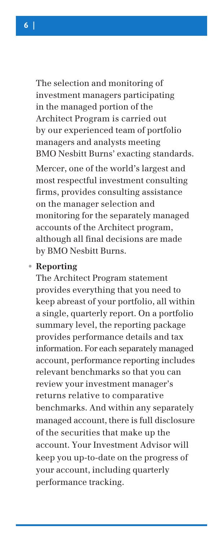The selection and monitoring of investment managers participating in the managed portion of the Architect Program is carried out by our experienced team of portfolio managers and analysts meeting BMO Nesbitt Burns' exacting standards.

Mercer, one of the world's largest and most respectful investment consulting firms, provides consulting assistance on the manager selection and monitoring for the separately managed accounts of the Architect program, although all final decisions are made by BMO Nesbitt Burns.

#### **• Reporting**

The Architect Program statement provides everything that you need to keep abreast of your portfolio, all within a single, quarterly report. On a portfolio summary level, the reporting package provides performance details and tax information. For each separately managed account, performance reporting includes relevant benchmarks so that you can review your investment manager's returns relative to comparative benchmarks. And within any separately managed account, there is full disclosure of the securities that make up the account. Your Investment Advisor will keep you up-to-date on the progress of your account, including quarterly performance tracking.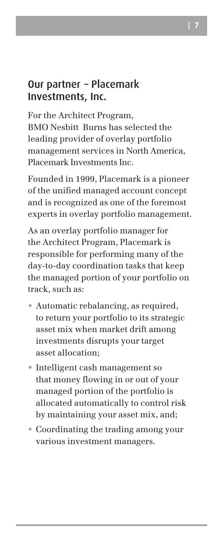### Our partner – Placemark Investments, Inc.

For the Architect Program, BMO Nesbitt Burns has selected the leading provider of overlay portfolio management services in North America, Placemark Investments Inc.

Founded in 1999, Placemark is a pioneer of the unified managed account concept and is recognized as one of the foremost experts in overlay portfolio management.

As an overlay portfolio manager for the Architect Program, Placemark is responsible for performing many of the day-to-day coordination tasks that keep the managed portion of your portfolio on track, such as:

- • Automatic rebalancing, as required, to return your portfolio to its strategic asset mix when market drift among investments disrupts your target asset allocation;
- • Intelligent cash management so that money flowing in or out of your managed portion of the portfolio is allocated automatically to control risk by maintaining your asset mix, and;
- Coordinating the trading among your various investment managers.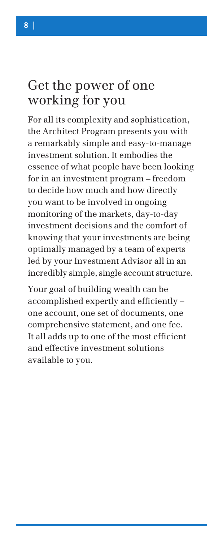## Get the power of one working for you

For all its complexity and sophistication, the Architect Program presents you with a remarkably simple and easy-to-manage investment solution. It embodies the essence of what people have been looking for in an investment program – freedom to decide how much and how directly you want to be involved in ongoing monitoring of the markets, day-to-day investment decisions and the comfort of knowing that your investments are being optimally managed by a team of experts led by your Investment Advisor all in an incredibly simple, single account structure.

Your goal of building wealth can be accomplished expertly and efficiently – one account, one set of documents, one comprehensive statement, and one fee. It all adds up to one of the most efficient and effective investment solutions available to you.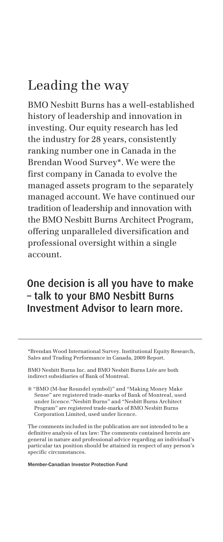## Leading the way

BMO Nesbitt Burns has a well-established history of leadership and innovation in investing. Our equity research has led the industry for 28 years, consistently ranking number one in Canada in the Brendan Wood Survey\*. We were the first company in Canada to evolve the managed assets program to the separately managed account. We have continued our tradition of leadership and innovation with the BMO Nesbitt Burns Architect Program, offering unparalleled diversification and professional oversight within a single account.

## One decision is all you have to make – talk to your BMO Nesbitt Burns Investment Advisor to learn more.

\*Brendan Wood International Survey. Institutional Equity Research, Sales and Trading Performance in Canada, 2009 Report.

BMO Nesbitt Burns Inc. and BMO Nesbitt Burns Ltée are both indirect subsidiaries of Bank of Montreal.

® "BMO (M-bar Roundel symbol)" and "Making Money Make Sense" are registered trade-marks of Bank of Montreal, used under licence."Nesbitt Burns" and "Nesbitt Burns Architect Program" are registered trade-marks of BMO Nesbitt Burns Corporation Limited, used under licence.

The comments included in the publication are not intended to be a definitive analysis of tax law: The comments contained herein are general in nature and professional advice regarding an individual's particular tax position should be attained in respect of any person's specific circumstances.

Member-Canadian Investor Protection Fund